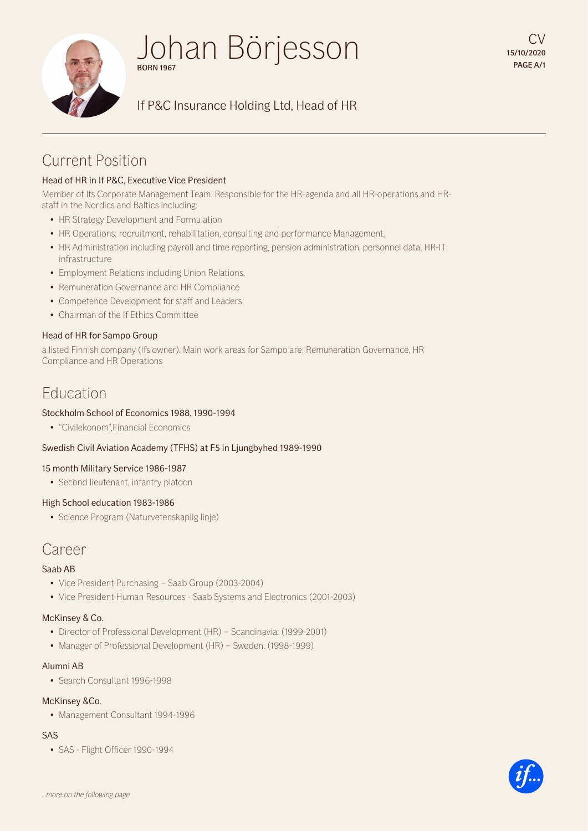

# Johan Börjesson BORN 1967

# If P&C Insurance Holding Ltd, Head of HR

# Current Position

# Head of HR in If P&C, Executive Vice President

Member of Ifs Corporate Management Team. Responsible for the HR-agenda and all HR-operations and HRstaff in the Nordics and Baltics including:

- HR Strategy Development and Formulation
- HR Operations; recruitment, rehabilitation, consulting and performance Management,
- HR Administration including payroll and time reporting, pension administration, personnel data, HR-IT infrastructure
- Employment Relations including Union Relations,
- Remuneration Governance and HR Compliance
- Competence Development for staff and Leaders
- Chairman of the If Ethics Committee

#### Head of HR for Sampo Group

a listed Finnish company (Ifs owner). Main work areas for Sampo are: Remuneration Governance, HR Compliance and HR Operations

# Education

#### Stockholm School of Economics 1988, 1990-1994

• "Civilekonom",Financial Economics

## Swedish Civil Aviation Academy (TFHS) at F5 in Ljungbyhed 1989-1990

#### 15 month Military Service 1986-1987

• Second lieutenant, infantry platoon

## High School education 1983-1986

• Science Program (Naturvetenskaplig linje)

# Career

## Saab AB

- Vice President Purchasing Saab Group (2003-2004)
- Vice President Human Resources Saab Systems and Electronics (2001-2003)

## McKinsey & Co.

- Director of Professional Development (HR) Scandinavia: (1999-2001)
- Manager of Professional Development (HR) Sweden: (1998-1999)

#### Alumni AB

• Search Consultant 1996-1998

## McKinsey &Co.

• Management Consultant 1994-1996

## SAS

• SAS - Flight Officer 1990-1994